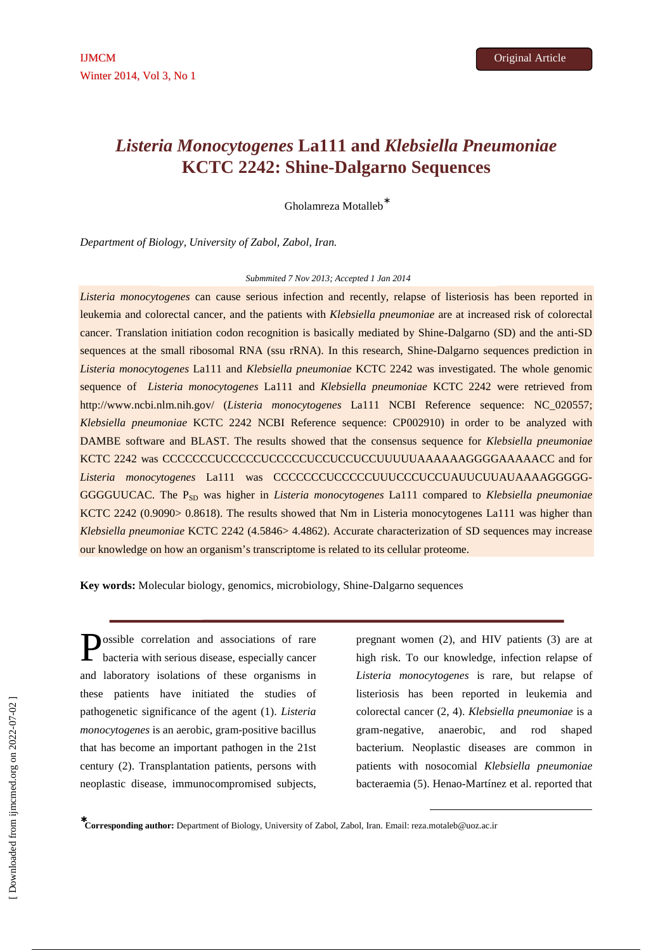# *Listeria Monocytogenes* **La111 and** *Klebsiella Pneumoniae* **KCTC 2242: Shine-Dalgarno Sequences**

Gholamreza Motalleb<sup>\*</sup>

*Department of Biology, University of Zabol, Zabol, Iran.*

# *Submmited 7 Nov 2013; Accepted 1 Jan 2014*

*Listeria monocytogenes* can cause serious infection and recently, relapse of listeriosis has been reported in leukemia and colorectal cancer, and the patients with *Klebsiella pneumoniae* are at increased risk of colorectal cancer. Translation initiation codon recognition is basically mediated by Shine-Dalgarno (SD) and the anti-SD sequences at the small ribosomal RNA (ssu rRNA). In this research, Shine-Dalgarno sequences prediction in *Listeria monocytogenes* La111 and *Klebsiella pneumoniae* KCTC 2242 was investigated. The whole genomic sequence of *Listeria monocytogenes* La111 and *Klebsiella pneumoniae* KCTC 2242 were retrieved from http://www.ncbi.nlm.nih.gov/ (*Listeria monocytogenes* La111 NCBI Reference sequence: NC\_020557; *Klebsiella pneumoniae* KCTC 2242 NCBI Reference sequence: CP002910) in order to be analyzed with DAMBE software and BLAST. The results showed that the consensus sequence for *Klebsiella pneumoniae* KCTC 2242 was CCCCCCCUCCCCCUCCCCCUCCUCCUCCUUUUUAAAAAAGGGGAAAAACC and for *Listeria monocytogenes* La111 was CCCCCCCUCCCCCUUUCCCUCCUAUUCUUAUAAAAGGGGG-GGGGUUCAC. The P<sub>SD</sub> was higher in *Listeria monocytogenes* La111 compared to *Klebsiella pneumoniae* KCTC 2242 (0.9090> 0.8618). The results showed that Nm in Listeria monocytogenes La111 was higher than *Klebsiella pneumoniae* KCTC 2242 (4.5846> 4.4862). Accurate characterization of SD sequences may increase our knowledge on how an organism's transcriptome is related to its cellular proteome.

**Key words:** Molecular biology, genomics, microbiology, Shine-Dalgarno sequences

ossible correlation and associations of rare bacteria with serious disease, especially cancer and laboratory isolations of these organisms in these patients have initiated the studies of pathogenetic significance of the agent (1). *Listeria monocytogenes* is an aerobic, gram-positive bacillus that has become an important pathogen in the 21st century (2). Transplantation patients, persons with neoplastic disease, immunocompromised subjects, P

pregnant women (2), and HIV patients (3) are at high risk. To our knowledge, infection relapse of *Listeria monocytogenes* is rare, but relapse of listeriosis has been reported in leukemia and colorectal cancer (2, 4). *Klebsiella pneumoniae* is a gram-negative, anaerobic, and rod shaped bacterium. Neoplastic diseases are common in patients with nosocomial *Klebsiella pneumoniae*  bacteraemia (5). Henao-Martínez et al. reported that

-

<sup>∗</sup>**Corresponding author:** Department of Biology, University of Zabol, Zabol, Iran. Email: reza.motaleb@uoz.ac.ir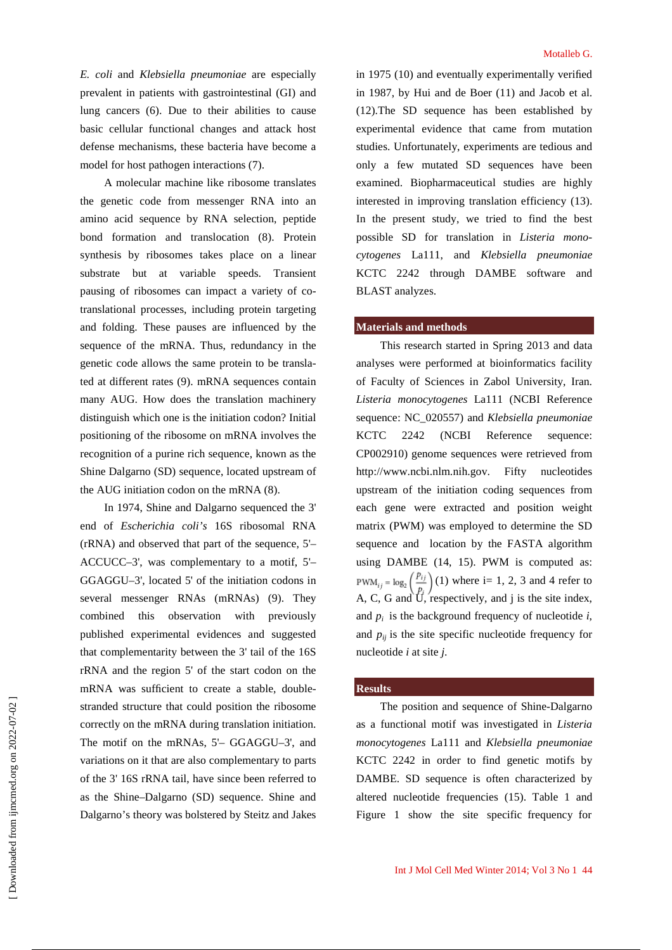*E. coli* and *Klebsiella pneumoniae* are especially prevalent in patients with gastrointestinal (GI) and lung cancers (6). Due to their abilities to cause basic cellular functional changes and attack host defense mechanisms, these bacteria have become a model for host pathogen interactions (7).

A molecular machine like ribosome translates the genetic code from messenger RNA into an amino acid sequence by RNA selection, peptide bond formation and translocation (8). Protein synthesis by ribosomes takes place on a linear substrate but at variable speeds. Transient pausing of ribosomes can impact a variety of cotranslational processes, including protein targeting and folding. These pauses are influenced by the sequence of the mRNA. Thus, redundancy in the genetic code allows the same protein to be translated at different rates (9). mRNA sequences contain many AUG. How does the translation machinery distinguish which one is the initiation codon? Initial positioning of the ribosome on mRNA involves the recognition of a purine rich sequence, known as the Shine Dalgarno (SD) sequence, located upstream of the AUG initiation codon on the mRNA (8).

In 1974, Shine and Dalgarno sequenced the 3' end of *Escherichia coli's* 16S ribosomal RNA (rRNA) and observed that part of the sequence, 5'– ACCUCC–3', was complementary to a motif, 5'– GGAGGU–3', located 5' of the initiation codons in several messenger RNAs (mRNAs) (9). They combined this observation with previously published experimental evidences and suggested that complementarity between the 3' tail of the 16S rRNA and the region 5' of the start codon on the mRNA was sufficient to create a stable, doublestranded structure that could position the ribosome correctly on the mRNA during translation initiation. The motif on the mRNAs, 5'– GGAGGU–3', and variations on it that are also complementary to parts of the 3' 16S rRNA tail, have since been referred to as the Shine–Dalgarno (SD) sequence. Shine and Dalgarno's theory was bolstered by Steitz and Jakes

in 1975 (10) and eventually experimentally verified in 1987, by Hui and de Boer (11) and Jacob et al. (12).The SD sequence has been established by experimental evidence that came from mutation studies. Unfortunately, experiments are tedious and only a few mutated SD sequences have been examined. Biopharmaceutical studies are highly interested in improving translation efficiency (13). In the present study, we tried to find the best possible SD for translation in *Listeria monocytogenes* La111, and *Klebsiella pneumoniae* KCTC 2242 through DAMBE software and BLAST analyzes.

# **Materials and methods**

This research started in Spring 2013 and data analyses were performed at bioinformatics facility of Faculty of Sciences in Zabol University, Iran. *Listeria monocytogenes* La111 (NCBI Reference sequence: NC\_020557) and *Klebsiella pneumoniae* KCTC 2242 (NCBI Reference sequence: CP002910) genome sequences were retrieved from http://www.ncbi.nlm.nih.gov. Fifty nucleotides upstream of the initiation coding sequences from each gene were extracted and position weight matrix (PWM) was employed to determine the SD sequence and location by the FASTA algorithm using DAMBE (14, 15). PWM is computed as:  $PWM_{ij} = log_2\left(\frac{p_{ij}}{p}\right)$  (1) where i= 1, 2, 3 and 4 refer to A, C, G and  $\overline{U}$ , respectively, and j is the site index, and  $p_i$  is the background frequency of nucleotide *i*, and  $p_{ij}$  is the site specific nucleotide frequency for nucleotide *i* at site *j*.

# **Results**

The position and sequence of Shine-Dalgarno as a functional motif was investigated in *Listeria monocytogenes* La111 and *Klebsiella pneumoniae* KCTC 2242 in order to find genetic motifs by DAMBE. SD sequence is often characterized by altered nucleotide frequencies (15). Table 1 and Figure 1 show the site specific frequency for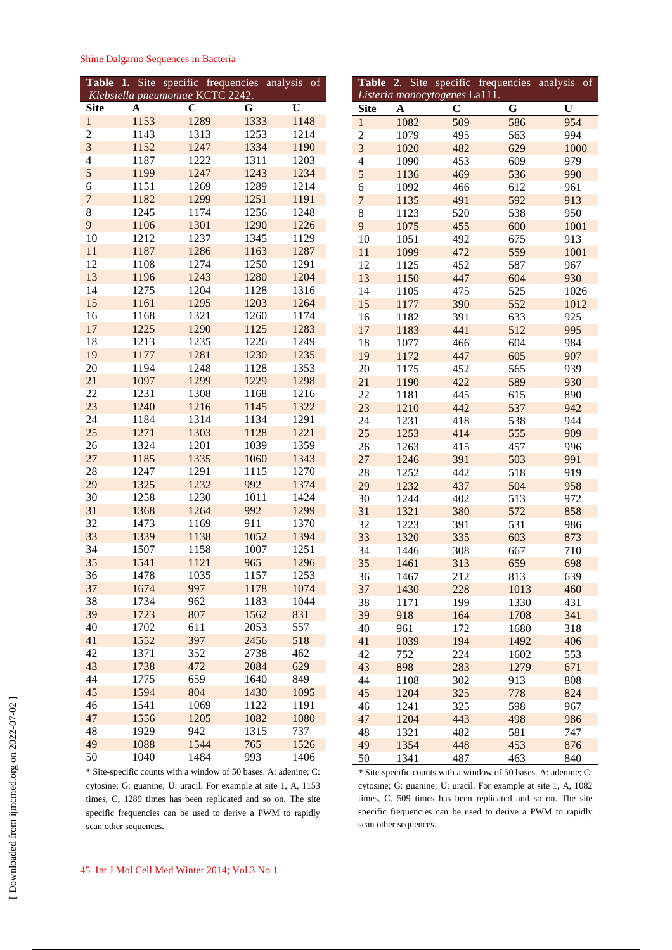|  | Shine Dalgarno Sequences in Bacteria |  |
|--|--------------------------------------|--|
|  |                                      |  |

| Table                   | Site<br>1. | specific frequencies<br>Klebsiella pneumoniae KCTC 2242. |      | analysis<br>$\overline{\text{of}}$ |
|-------------------------|------------|----------------------------------------------------------|------|------------------------------------|
| <b>Site</b>             | A          | $\overline{\mathbf{C}}$                                  | G    | U                                  |
| $\,1$                   | 1153       | 1289                                                     | 1333 | 1148                               |
| $\overline{\mathbf{c}}$ | 1143       | 1313                                                     | 1253 | 1214                               |
| $\overline{3}$          | 1152       | 1247                                                     | 1334 | 1190                               |
| 4                       | 1187       | 1222                                                     | 1311 | 1203                               |
| 5                       | 1199       | 1247                                                     | 1243 | 1234                               |
| 6                       | 1151       | 1269                                                     | 1289 | 1214                               |
| $\overline{7}$          | 1182       | 1299                                                     | 1251 | 1191                               |
| 8                       | 1245       | 1174                                                     | 1256 | 1248                               |
| 9                       | 1106       | 1301                                                     | 1290 | 1226                               |
| 10                      | 1212       | 1237                                                     | 1345 | 1129                               |
| 11                      | 1187       | 1286                                                     | 1163 | 1287                               |
| 12                      | 1108       | 1274                                                     | 1250 | 1291                               |
| 13                      | 1196       | 1243                                                     | 1280 | 1204                               |
| 14                      | 1275       | 1204                                                     | 1128 | 1316                               |
| 15                      | 1161       | 1295                                                     | 1203 | 1264                               |
| 16                      | 1168       | 1321                                                     | 1260 | 1174                               |
| 17                      | 1225       | 1290                                                     | 1125 | 1283                               |
| 18                      | 1213       | 1235                                                     | 1226 | 1249                               |
| 19                      | 1177       | 1281                                                     | 1230 | 1235                               |
| 20                      | 1194       | 1248                                                     | 1128 | 1353                               |
| 21                      | 1097       | 1299                                                     | 1229 | 1298                               |
| 22                      | 1231       | 1308                                                     | 1168 | 1216                               |
| 23                      | 1240       | 1216                                                     | 1145 | 1322                               |
| 24                      | 1184       | 1314                                                     | 1134 | 1291                               |
| 25                      | 1271       | 1303                                                     | 1128 | 1221                               |
| 26                      | 1324       | 1201                                                     | 1039 | 1359                               |
| 27                      | 1185       | 1335                                                     | 1060 | 1343                               |
| 28                      | 1247       | 1291                                                     | 1115 | 1270                               |
| 29                      | 1325       | 1232                                                     | 992  | 1374                               |
| 30                      | 1258       | 1230                                                     | 1011 | 1424                               |
| 31                      | 1368       | 1264                                                     | 992  | 1299                               |
| 32                      | 1473       | 1169                                                     | 911  | 1370                               |
| 33                      | 1339       | 1138                                                     | 1052 | 1394                               |
| 34                      | 1507       | 1158                                                     | 1007 | 1251                               |
| 35                      | 1541       | 1121                                                     | 965  | 1296                               |
| 36                      | 1478       | 1035                                                     | 1157 | 1253                               |
| 37                      | 1674       | 997                                                      | 1178 | 1074                               |
| 38                      | 1734       | 962                                                      | 1183 | 1044                               |
| 39                      | 1723       | 807                                                      | 1562 | 831                                |
| 40                      | 1702       | 611                                                      | 2053 | 557                                |
| 41                      | 1552       | 397                                                      | 2456 | 518                                |
|                         |            |                                                          |      |                                    |
| 42                      | 1371       | 352                                                      | 2738 | 462                                |
| 43                      | 1738       | 472                                                      | 2084 | 629                                |
| 44                      | 1775       | 659                                                      | 1640 | 849                                |
| 45                      | 1594       | 804                                                      | 1430 | 1095                               |
| 46                      | 1541       | 1069                                                     | 1122 | 1191                               |
| 47                      | 1556       | 1205                                                     | 1082 | 1080                               |
| 48                      | 1929       | 942                                                      | 1315 | 737                                |
| 49                      | 1088       | 1544                                                     | 765  | 1526                               |
| 50                      | 1040       | 1484                                                     | 993  | 1406                               |

\* Site-specific counts with a window of 50 bases. A: adenine; C: cytosine; G: guanine; U: uracil. For example at site 1, A, 1153 times, C, 1289 times has been replicated and so on. The site specific frequencies can be used to derive a PWM to rapidly scan other sequences.

37 1430 228 1013 460 38 1171 199 1330 431 39 918 164 1708 341 40 961 172 1680 318 41 1039 194 1492 406 42 752 224 1602 553 43 898 283 1279 671 44 1108 302 913 808 45 1204 325 778 824 46 1241 325 598 967 47 1204 443 498 986 48 1321 482 581 747 49 1354 448 453 876 50 1341 487 463 840 \* Site-specific counts with a window of 50 bases. A: adenine; C: cytosine; G: guanine; U: uracil. For example at site 1, A, 1082 times, C, 509 times has been replicated and so on. The site specific frequencies can be used to derive a PWM to rapidly scan other sequences.

**Table 2**. Site specific frequencies analysis of

*Listeria monocytogenes* La111.

 [\[ Downloaded from ijmcmed.org on 2022-](https://ijmcmed.org/article-1-119-en.html)07-02 ] Downloaded from ijmcmed.org on 2022-07-02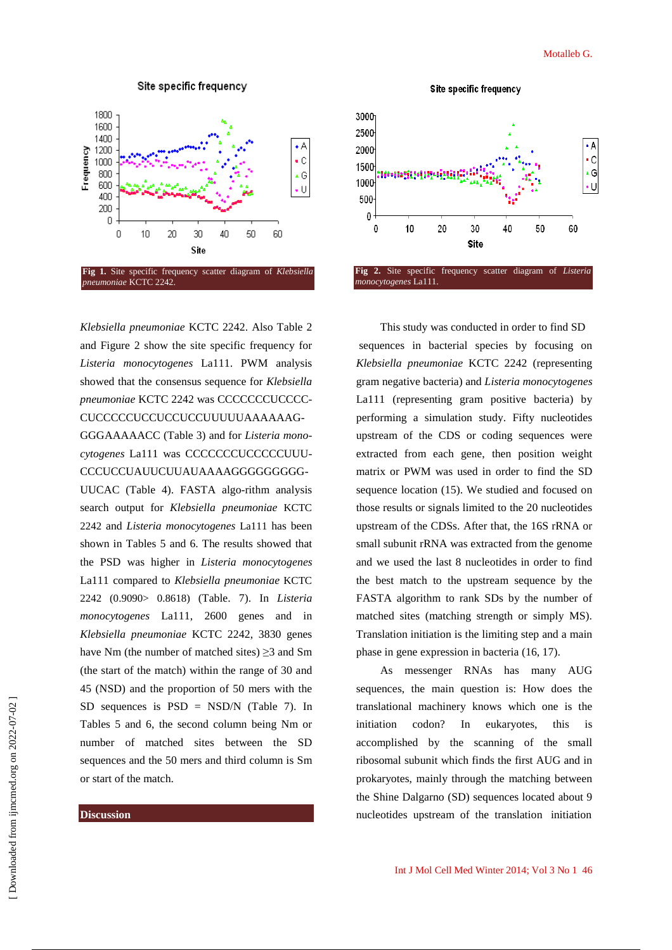

*Klebsiella pneumoniae* KCTC 2242. Also Table 2 and Figure 2 show the site specific frequency for *Listeria monocytogenes* La111. PWM analysis showed that the consensus sequence for *Klebsiella pneumoniae* KCTC 2242 was CCCCCCCUCCCC-CUCCCCCUCCUCCUCCUUUUUAAAAAAG-GGGAAAAACC (Table 3) and for *Listeria monocytogenes* La111 was CCCCCCCUCCCCCUUU-CCCUCCUAUUCUUAUAAAAGGGGGGGGG-UUCAC (Table 4). FASTA algo-rithm analysis search output for *Klebsiella pneumoniae* KCTC 2242 and *Listeria monocytogenes* La111 has been shown in Tables 5 and 6. The results showed that the PSD was higher in *Listeria monocytogenes* La111 compared to *Klebsiella pneumoniae* KCTC 2242 (0.9090> 0.8618) (Table. 7). In *Listeria monocytogenes* La111, 2600 genes and in *Klebsiella pneumoniae* KCTC 2242, 3830 genes have Nm (the number of matched sites)  $\geq$ 3 and Sm (the start of the match) within the range of 30 and 45 (NSD) and the proportion of 50 mers with the SD sequences is  $PSD = NSD/N$  (Table 7). In Tables 5 and 6, the second column being Nm or number of matched sites between the SD sequences and the 50 mers and third column is Sm or start of the match.

### **Discussion**



This study was conducted in order to find SD sequences in bacterial species by focusing on *Klebsiella pneumoniae* KCTC 2242 (representing gram negative bacteria) and *Listeria monocytogenes* La111 (representing gram positive bacteria) by performing a simulation study. Fifty nucleotides upstream of the CDS or coding sequences were extracted from each gene, then position weight matrix or PWM was used in order to find the SD sequence location (15). We studied and focused on those results or signals limited to the 20 nucleotides upstream of the CDSs. After that, the 16S rRNA or small subunit rRNA was extracted from the genome and we used the last 8 nucleotides in order to find the best match to the upstream sequence by the FASTA algorithm to rank SDs by the number of matched sites (matching strength or simply MS). Translation initiation is the limiting step and a main phase in gene expression in bacteria (16, 17).

As messenger RNAs has many AUG sequences, the main question is: How does the translational machinery knows which one is the initiation codon? In eukaryotes, this is accomplished by the scanning of the small ribosomal subunit which finds the first AUG and in prokaryotes, mainly through the matching between the Shine Dalgarno (SD) sequences located about 9 nucleotides upstream of the translation initiation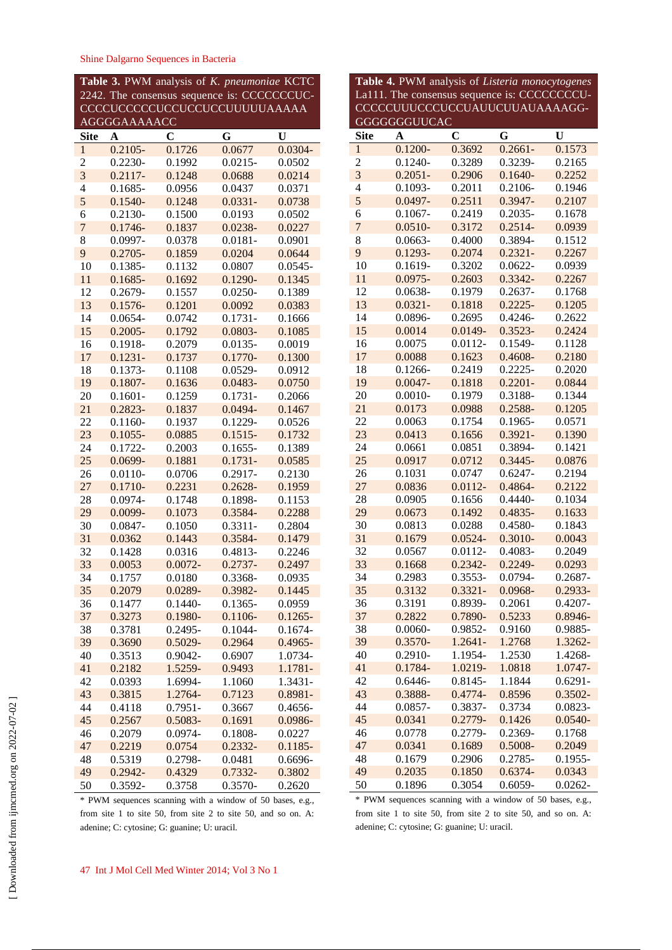| Table 3. PWM analysis of K. pneumoniae KCTC |                         |             |                                             |            |
|---------------------------------------------|-------------------------|-------------|---------------------------------------------|------------|
|                                             |                         |             | 2242. The consensus sequence is: CCCCCCCUC- |            |
|                                             |                         |             | CCCCUCCCCUCCUCCUCCUUUUUAAAAA                |            |
|                                             | <b>AGGGGAAAAACC</b>     |             |                                             |            |
| <b>Site</b>                                 | $\overline{\mathbf{A}}$ | $\mathbf C$ | G                                           | U          |
| $\mathbf{1}$                                | $0.2105 -$              | 0.1726      | 0.0677                                      | $0.0304 -$ |
| $\overline{c}$                              | $0.2230 -$              | 0.1992      | $0.0215 -$                                  | 0.0502     |
| $\overline{\mathbf{3}}$                     | $0.2117 -$              | 0.1248      | 0.0688                                      | 0.0214     |
| $\overline{\mathcal{L}}$                    | $0.1685 -$              | 0.0956      | 0.0437                                      | 0.0371     |
| 5                                           | $0.1540 -$              | 0.1248      | $0.0331 -$                                  | 0.0738     |
| 6                                           | $0.2130 -$              | 0.1500      | 0.0193                                      | 0.0502     |
| $\overline{7}$                              | $0.1746 -$              | 0.1837      | $0.0238 -$                                  | 0.0227     |
| 8                                           | 0.0997-                 | 0.0378      | $0.0181 -$                                  | 0.0901     |
| 9                                           | $0.2705 -$              | 0.1859      | 0.0204                                      | 0.0644     |
| 10                                          | $0.1385 -$              | 0.1132      | 0.0807                                      | $0.0545 -$ |
| 11                                          | $0.1685 -$              | 0.1692      | $0.1290 -$                                  | 0.1345     |
| 12                                          | $0.2679 -$              | 0.1557      | $0.0250 -$                                  | 0.1389     |
| 13                                          | $0.1576 -$              | 0.1201      | 0.0092                                      | 0.0383     |
| 14                                          | $0.0654 -$              | 0.0742      | $0.1731 -$                                  | 0.1666     |
| 15                                          | $0.2005 -$              | 0.1792      | $0.0803 -$                                  | 0.1085     |
| 16                                          | 0.1918-                 | 0.2079      | $0.0135 -$                                  | 0.0019     |
| 17                                          | $0.1231 -$              | 0.1737      | $0.1770 -$                                  | 0.1300     |
| 18                                          | $0.1373-$               | 0.1108      | 0.0529-                                     | 0.0912     |
| 19                                          |                         |             |                                             |            |
|                                             | $0.1807 -$              | 0.1636      | $0.0483 -$                                  | 0.0750     |
| 20                                          | $0.1601 -$              | 0.1259      | $0.1731 -$                                  | 0.2066     |
| 21                                          | $0.2823 -$              | 0.1837      | $0.0494 -$                                  | 0.1467     |
| 22                                          | $0.1160 -$              | 0.1937      | $0.1229 -$                                  | 0.0526     |
| 23                                          | $0.1055 -$              | 0.0885      | $0.1515 -$                                  | 0.1732     |
| 24                                          | $0.1722 -$              | 0.2003      | $0.1655 -$                                  | 0.1389     |
| 25                                          | $0.0699 -$              | 0.1881      | $0.1731 -$                                  | 0.0585     |
| 26                                          | $0.0110 -$              | 0.0706      | $0.2917 -$                                  | 0.2130     |
| 27                                          | $0.1710 -$              | 0.2231      | $0.2628 -$                                  | 0.1959     |
| 28                                          | 0.0974-                 | 0.1748      | 0.1898-                                     | 0.1153     |
| 29                                          | 0.0099-                 | 0.1073      | 0.3584-                                     | 0.2288     |
| 30                                          | $0.0847 -$              | 0.1050      | $0.3311 -$                                  | 0.2804     |
| 31                                          | 0.0362                  | 0.1443      | 0.3584-                                     | 0.1479     |
| 32                                          | 0.1428                  | 0.0316      | $0.4813 -$                                  | 0.2246     |
| 33                                          | 0.0053                  | $0.0072 -$  | $0.2737 -$                                  | 0.2497     |
| 34                                          | 0.1757                  | 0.0180      | 0.3368-                                     | 0.0935     |
| 35                                          | 0.2079                  | 0.0289-     | 0.3982-                                     | 0.1445     |
| 36                                          | 0.1477                  | $0.1440 -$  | $0.1365 -$                                  | 0.0959     |
| 37                                          | 0.3273                  | 0.1980-     | $0.1106 -$                                  | $0.1265 -$ |
| 38                                          | 0.3781                  | $0.2495 -$  | $0.1044 -$                                  | $0.1674 -$ |
| 39                                          | 0.3690                  | $0.5029 -$  | 0.2964                                      | $0.4965 -$ |
| 40                                          | 0.3513                  | 0.9042-     | 0.6907                                      | 1.0734-    |
| 41                                          | 0.2182                  | 1.5259-     | 0.9493                                      | 1.1781-    |
| 42                                          | 0.0393                  | 1.6994-     | 1.1060                                      | 1.3431-    |
| 43                                          | 0.3815                  | 1.2764-     | 0.7123                                      | 0.8981-    |
| 44                                          | 0.4118                  | $0.7951 -$  | 0.3667                                      | 0.4656-    |
| 45                                          | 0.2567                  | $0.5083 -$  | 0.1691                                      | 0.0986-    |
| 46                                          | 0.2079                  | 0.0974-     | $0.1808 -$                                  | 0.0227     |
| 47                                          | 0.2219                  | 0.0754      | $0.2332 -$                                  | $0.1185 -$ |
| 48                                          | 0.5319                  | $0.2798 -$  | 0.0481                                      | 0.6696-    |
| 49                                          | $0.2942 -$              | 0.4329      | 0.7332-                                     | 0.3802     |
| 50                                          | 0.3592-                 | 0.3758      | 0.3570-                                     | 0.2620     |

| La111. The consensus sequence is: CCCCCCCCU-<br>CCCCCUUUCCCUCCUAUUCUUAUAAAAGG- |                          |                         |                  |                    |  |
|--------------------------------------------------------------------------------|--------------------------|-------------------------|------------------|--------------------|--|
| <b>GGGGGGGUUCAC</b>                                                            |                          |                         |                  |                    |  |
| <b>Site</b>                                                                    | A                        | $\overline{\mathbf{C}}$ | G                | U                  |  |
| $\mathbf{1}$                                                                   | $0.1200 -$               | 0.3692                  | $0.2661 -$       | 0.1573             |  |
| $\overline{c}$                                                                 | $0.1240 -$               | 0.3289                  | $0.3239 -$       | 0.2165             |  |
| $\overline{\mathbf{3}}$                                                        | $0.2051 -$               | 0.2906                  | $0.1640 -$       | 0.2252             |  |
| $\overline{4}$                                                                 | $0.1093 -$               | 0.2011                  | $0.2106 -$       | 0.1946             |  |
| 5                                                                              | $0.0497 -$               | 0.2511                  | $0.3947 -$       | 0.2107             |  |
| 6                                                                              | $0.1067 -$               | 0.2419                  | $0.2035 -$       | 0.1678             |  |
| $\overline{7}$                                                                 | $0.0510 -$               | 0.3172                  | $0.2514 -$       | 0.0939             |  |
| 8                                                                              | $0.0663 -$               | 0.4000                  | 0.3894-          | 0.1512             |  |
| 9                                                                              | $0.1293 -$               | 0.2074                  | $0.2321 -$       | 0.2267             |  |
| 10                                                                             | $0.1619 -$               | 0.3202                  | $0.0622 -$       | 0.0939             |  |
| 11                                                                             | $0.0975 -$               | 0.2603                  | $0.3342 -$       | 0.2267             |  |
| 12                                                                             | 0.0638-                  | 0.1979                  | $0.2637 -$       | 0.1768             |  |
| 13                                                                             | $0.0321 -$               | 0.1818                  | $0.2225 -$       | 0.1205             |  |
| 14                                                                             | 0.0896-                  | 0.2695                  | $0.4246 -$       | 0.2622             |  |
| 15                                                                             | 0.0014                   | $0.0149 -$              | $0.3523 -$       | 0.2424             |  |
| 16                                                                             | 0.0075                   | $0.0112 -$              | $0.1549 -$       | 0.1128             |  |
| 17                                                                             | 0.0088                   | 0.1623                  | $0.4608 -$       | 0.2180             |  |
| 18                                                                             | $0.1266 -$               | 0.2419                  | $0.2225 -$       | 0.2020             |  |
| 19                                                                             | $0.0047 -$               | 0.1818                  | $0.2201 -$       | 0.0844             |  |
| 20                                                                             | $0.0010 -$               | 0.1979                  | 0.3188-          | 0.1344             |  |
| 21                                                                             | 0.0173                   | 0.0988                  | 0.2588-          | 0.1205             |  |
| 22                                                                             | 0.0063                   | 0.1754                  | $0.1965 -$       | 0.0571             |  |
| 23                                                                             | 0.0413                   | 0.1656                  | $0.3921 -$       | 0.1390             |  |
| 24                                                                             | 0.0661                   | 0.0851                  | 0.3894-          | 0.1421             |  |
| 25                                                                             | 0.0917                   | 0.0712                  | $0.3445 -$       | 0.0876             |  |
| 26                                                                             | 0.1031                   | 0.0747                  | $0.6247 -$       | 0.2194             |  |
| 27                                                                             | 0.0836                   | $0.0112 -$              | $0.4864 -$       | 0.2122             |  |
| 28                                                                             | 0.0905                   | 0.1656                  | $0.4440 -$       | 0.1034             |  |
| 29                                                                             | 0.0673                   | 0.1492                  | $0.4835 -$       | 0.1633             |  |
| 30                                                                             | 0.0813                   | 0.0288                  | 0.4580-          | 0.1843             |  |
| 31                                                                             | 0.1679                   | $0.0524 -$              | $0.3010 -$       | 0.0043             |  |
| 32                                                                             | 0.0567                   | $0.0112 -$              | 0.4083-          | 0.2049             |  |
| 33                                                                             | 0.1668                   | $0.2342 -$              | $0.2249 -$       | 0.0293             |  |
| 34                                                                             | 0.2983                   | $0.3553 -$              | 0.0794-          | 0.2687-            |  |
| 35                                                                             | 0.3132                   | $0.3321 -$              | 0.0968-          | 0.2933-            |  |
| 36                                                                             | 0.3191                   | 0.8939-                 | 0.2061           | $0.4207 -$         |  |
| 37                                                                             | 0.2822                   | 0.7890-                 | 0.5233<br>0.9160 | 0.8946-<br>0.9885- |  |
| 38<br>39                                                                       | $0.0060 -$<br>$0.3570 -$ | 0.9852-<br>$1.2641 -$   | 1.2768           | 1.3262-            |  |
| 40                                                                             |                          | 1.1954-                 | 1.2530           | 1.4268-            |  |
| 41                                                                             | 0.2910-<br>0.1784-       | 1.0219-                 | 1.0818           | 1.0747-            |  |
| 42                                                                             | $0.6446 -$               | $0.8145 -$              | 1.1844           | $0.6291 -$         |  |
| 43                                                                             | 0.3888-                  | $0.4774 -$              | 0.8596           | $0.3502 -$         |  |
| 44                                                                             | $0.0857 -$               | 0.3837-                 | 0.3734           | $0.0823 -$         |  |
| 45                                                                             | 0.0341                   | 0.2779-                 | 0.1426           | $0.0540 -$         |  |
| 46                                                                             | 0.0778                   | 0.2779-                 | 0.2369-          | 0.1768             |  |
| 47                                                                             | 0.0341                   | 0.1689                  | $0.5008 -$       | 0.2049             |  |
| 48                                                                             | 0.1679                   | 0.2906                  | 0.2785-          | $0.1955 -$         |  |
| 49                                                                             | 0.2035                   | 0.1850                  | $0.6374 -$       | 0.0343             |  |
| 50                                                                             | 0.1896                   | 0.3054                  | $0.6059 -$       | $0.0262 -$         |  |
|                                                                                |                          |                         |                  |                    |  |

**Table 4.** PWM analysis of *Listeria monocytogenes*

\* PWM sequences scanning with a window of 50 bases, e.g., from site 1 to site 50, from site 2 to site 50, and so on. A: adenine; C: cytosine; G: guanine; U: uracil.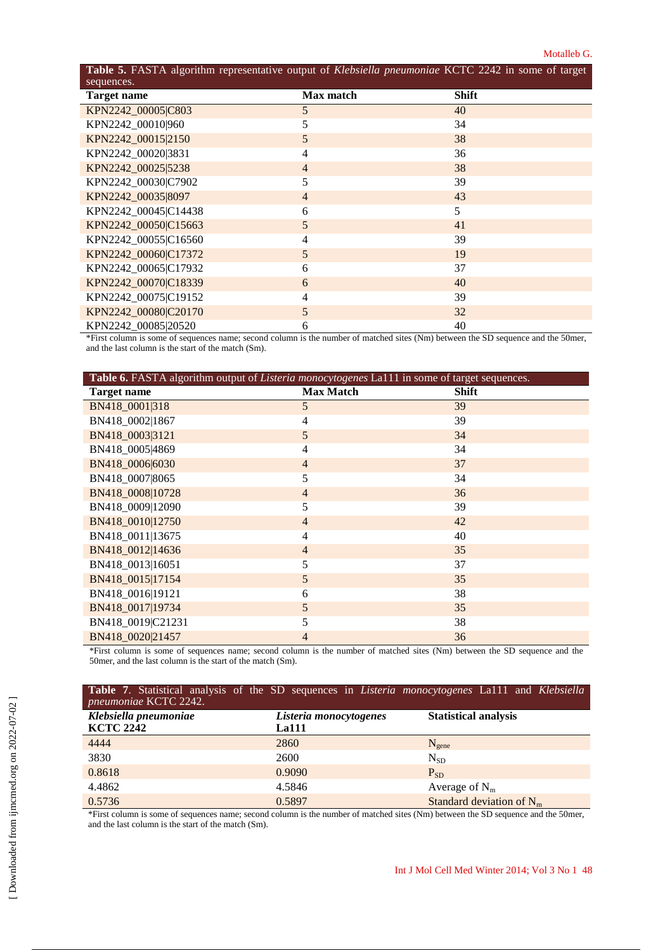#### Motalleb G.

| Table 5. FASTA algorithm representative output of Klebsiella pneumoniae KCTC 2242 in some of target |                  |              |  |  |
|-----------------------------------------------------------------------------------------------------|------------------|--------------|--|--|
| sequences.                                                                                          |                  |              |  |  |
| Target name                                                                                         | <b>Max match</b> | <b>Shift</b> |  |  |
| KPN2242_00005 C803                                                                                  | 5                | 40           |  |  |
| KPN2242_00010 960                                                                                   | 5                | 34           |  |  |
| KPN2242 00015 2150                                                                                  | 5                | 38           |  |  |
| KPN2242_00020 3831                                                                                  | $\overline{4}$   | 36           |  |  |
| KPN2242_00025 5238                                                                                  | $\overline{4}$   | 38           |  |  |
| KPN2242_00030 C7902                                                                                 | 5                | 39           |  |  |
| KPN2242_00035 8097                                                                                  | $\overline{4}$   | 43           |  |  |
| KPN2242_00045 C14438                                                                                | 6                | 5            |  |  |
| KPN2242_00050 C15663                                                                                | 5                | 41           |  |  |
| KPN2242_00055 C16560                                                                                | $\overline{4}$   | 39           |  |  |
| KPN2242_00060 C17372                                                                                | 5                | 19           |  |  |
| KPN2242_00065 C17932                                                                                | 6                | 37           |  |  |
| KPN2242_00070 C18339                                                                                | 6                | 40           |  |  |
| KPN2242_00075 C19152                                                                                | $\overline{4}$   | 39           |  |  |
| KPN2242_00080 C20170                                                                                | 5                | 32           |  |  |
| KPN2242 00085 20520                                                                                 | 6                | 40           |  |  |

\*First column is some of sequences name; second column is the number of matched sites (Nm) between the SD sequence and the 50mer, and the last column is the start of the match (Sm).

| Table 6. FASTA algorithm output of Listeria monocytogenes La111 in some of target sequences. |                  |       |  |
|----------------------------------------------------------------------------------------------|------------------|-------|--|
| <b>Target name</b>                                                                           | <b>Max Match</b> | Shift |  |
| BN418_0001 318                                                                               | 5                | 39    |  |
| BN418_0002 1867                                                                              | 4                | 39    |  |
| BN418 0003 3121                                                                              | 5                | 34    |  |
| BN418_0005 4869                                                                              | $\overline{4}$   | 34    |  |
| BN418 0006 6030                                                                              | $\overline{4}$   | 37    |  |
| BN418_0007 8065                                                                              | 5                | 34    |  |
| BN418_0008 10728                                                                             | $\overline{4}$   | 36    |  |
| BN418_0009 12090                                                                             | 5                | 39    |  |
| BN418_0010 12750                                                                             | $\overline{4}$   | 42    |  |
| BN418_0011 13675                                                                             | $\overline{4}$   | 40    |  |
| BN418_0012 14636                                                                             | $\overline{4}$   | 35    |  |
| BN418_0013 16051                                                                             | 5                | 37    |  |
| BN418_0015 17154                                                                             | 5                | 35    |  |
| BN418_0016 19121                                                                             | 6                | 38    |  |
| BN418_0017 19734                                                                             | 5                | 35    |  |
| BN418_0019 C21231                                                                            | 5                | 38    |  |
| BN418_0020 21457                                                                             | $\overline{4}$   | 36    |  |

\*First column is some of sequences name; second column is the number of matched sites (Nm) between the SD sequence and the 50mer, and the last column is the start of the match (Sm).

| Table 7. Statistical analysis of the SD sequences in <i>Listeria monocytogenes</i> La111 and <i>Klebsiella</i><br>pneumoniae KCTC 2242. |                                        |                             |
|-----------------------------------------------------------------------------------------------------------------------------------------|----------------------------------------|-----------------------------|
| Klebsiella pneumoniae<br><b>KCTC 2242</b>                                                                                               | Listeria monocytogenes<br><b>La111</b> | <b>Statistical analysis</b> |
| 4444                                                                                                                                    | 2860                                   | $N_{\text{gene}}$           |
| 3830                                                                                                                                    | 2600                                   | $N_{SD}$                    |
| 0.8618                                                                                                                                  | 0.9090                                 | $P_{SD}$                    |
| 4.4862                                                                                                                                  | 4.5846                                 | Average of $N_m$            |
| 0.5736                                                                                                                                  | 0.5897                                 | Standard deviation of $N_m$ |

\*First column is some of sequences name; second column is the number of matched sites (Nm) between the SD sequence and the 50mer, and the last column is the start of the match (Sm).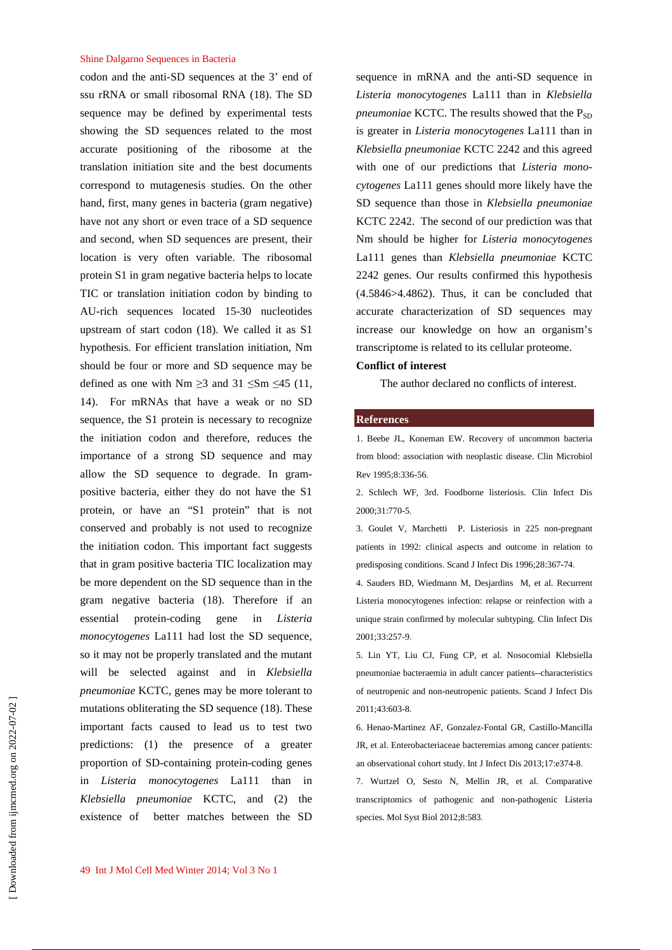## Shine Dalgarno Sequences in Bacteria

codon and the anti-SD sequences at the 3' end of ssu rRNA or small ribosomal RNA (18). The SD sequence may be defined by experimental tests showing the SD sequences related to the most accurate positioning of the ribosome at the translation initiation site and the best documents correspond to mutagenesis studies. On the other hand, first, many genes in bacteria (gram negative) have not any short or even trace of a SD sequence and second, when SD sequences are present, their location is very often variable. The ribosomal protein S1 in gram negative bacteria helps to locate TIC or translation initiation codon by binding to AU-rich sequences located 15-30 nucleotides upstream of start codon (18). We called it as S1 hypothesis. For efficient translation initiation, Nm should be four or more and SD sequence may be defined as one with Nm  $\geq$ 3 and 31  $\leq$ Sm  $\leq$ 45 (11, 14). For mRNAs that have a weak or no SD sequence, the S1 protein is necessary to recognize the initiation codon and therefore, reduces the importance of a strong SD sequence and may allow the SD sequence to degrade. In grampositive bacteria, either they do not have the S1 protein, or have an "S1 protein" that is not conserved and probably is not used to recognize the initiation codon. This important fact suggests that in gram positive bacteria TIC localization may be more dependent on the SD sequence than in the gram negative bacteria (18). Therefore if an essential protein-coding gene in *Listeria monocytogenes* La111 had lost the SD sequence, so it may not be properly translated and the mutant will be selected against and in *Klebsiella pneumoniae* KCTC, genes may be more tolerant to mutations obliterating the SD sequence (18). These important facts caused to lead us to test two predictions: (1) the presence of a greater proportion of SD-containing protein-coding genes in *Listeria monocytogenes* La111 than in *Klebsiella pneumoniae* KCTC, and (2) the existence of better matches between the SD

sequence in mRNA and the anti-SD sequence in *Listeria monocytogenes* La111 than in *Klebsiella pneumoniae* KCTC. The results showed that the  $P_{SD}$ is greater in *Listeria monocytogenes* La111 than in *Klebsiella pneumoniae* KCTC 2242 and this agreed with one of our predictions that *Listeria monocytogenes* La111 genes should more likely have the SD sequence than those in *Klebsiella pneumoniae* KCTC 2242. The second of our prediction was that Nm should be higher for *Listeria monocytogenes* La111 genes than *Klebsiella pneumoniae* KCTC 2242 genes. Our results confirmed this hypothesis (4.5846>4.4862). Thus, it can be concluded that accurate characterization of SD sequences may increase our knowledge on how an organism's transcriptome is related to its cellular proteome.

## **Conflict of interest**

The author declared no conflicts of interest.

#### **References**

1. Beebe JL, Koneman EW. Recovery of uncommon bacteria from blood: association with neoplastic disease. Clin Microbiol Rev 1995;8:336-56.

2. Schlech WF, 3rd. Foodborne listeriosis. Clin Infect Dis 2000;31:770-5.

3. Goulet V, Marchetti P. Listeriosis in 225 non-pregnant patients in 1992: clinical aspects and outcome in relation to predisposing conditions. Scand J Infect Dis 1996;28:367-74.

4. Sauders BD, Wiedmann M, Desjardins M, et al. Recurrent Listeria monocytogenes infection: relapse or reinfection with a unique strain confirmed by molecular subtyping. Clin Infect Dis 2001;33:257-9.

5. Lin YT, Liu CJ, Fung CP, et al. Nosocomial Klebsiella pneumoniae bacteraemia in adult cancer patients--characteristics of neutropenic and non-neutropenic patients. Scand J Infect Dis 2011;43:603-8.

6. Henao-Martinez AF, Gonzalez-Fontal GR, Castillo-Mancilla JR, et al. Enterobacteriaceae bacteremias among cancer patients: an observational cohort study. Int J Infect Dis 2013;17:e374-8.

7. Wurtzel O, Sesto N, Mellin JR, et al. Comparative transcriptomics of pathogenic and non-pathogenic Listeria species. Mol Syst Biol 2012;8:583.